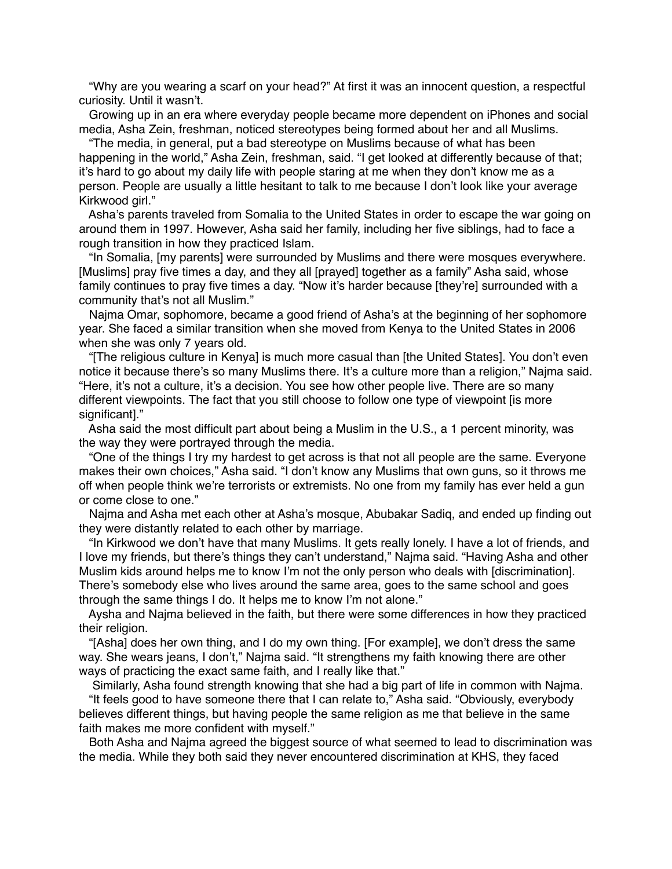"Why are you wearing a scarf on your head?" At first it was an innocent question, a respectful curiosity. Until it wasn't.

 Growing up in an era where everyday people became more dependent on iPhones and social media, Asha Zein, freshman, noticed stereotypes being formed about her and all Muslims.

 "The media, in general, put a bad stereotype on Muslims because of what has been happening in the world," Asha Zein, freshman, said. "I get looked at differently because of that; it's hard to go about my daily life with people staring at me when they don't know me as a person. People are usually a little hesitant to talk to me because I don't look like your average Kirkwood girl."

 Asha's parents traveled from Somalia to the United States in order to escape the war going on around them in 1997. However, Asha said her family, including her five siblings, had to face a rough transition in how they practiced Islam.

 "In Somalia, [my parents] were surrounded by Muslims and there were mosques everywhere. [Muslims] pray five times a day, and they all [prayed] together as a family" Asha said, whose family continues to pray five times a day. "Now it's harder because [they're] surrounded with a community that's not all Muslim."

 Najma Omar, sophomore, became a good friend of Asha's at the beginning of her sophomore year. She faced a similar transition when she moved from Kenya to the United States in 2006 when she was only 7 years old.

 "[The religious culture in Kenya] is much more casual than [the United States]. You don't even notice it because there's so many Muslims there. It's a culture more than a religion," Najma said. "Here, it's not a culture, it's a decision. You see how other people live. There are so many different viewpoints. The fact that you still choose to follow one type of viewpoint [is more significant]."

 Asha said the most difficult part about being a Muslim in the U.S., a 1 percent minority, was the way they were portrayed through the media.

 "One of the things I try my hardest to get across is that not all people are the same. Everyone makes their own choices," Asha said. "I don't know any Muslims that own guns, so it throws me off when people think we're terrorists or extremists. No one from my family has ever held a gun or come close to one."

 Najma and Asha met each other at Asha's mosque, Abubakar Sadiq, and ended up finding out they were distantly related to each other by marriage.

 "In Kirkwood we don't have that many Muslims. It gets really lonely. I have a lot of friends, and I love my friends, but there's things they can't understand," Najma said. "Having Asha and other Muslim kids around helps me to know I'm not the only person who deals with [discrimination]. There's somebody else who lives around the same area, goes to the same school and goes through the same things I do. It helps me to know I'm not alone."

 Aysha and Najma believed in the faith, but there were some differences in how they practiced their religion.

 "[Asha] does her own thing, and I do my own thing. [For example], we don't dress the same way. She wears jeans, I don't," Najma said. "It strengthens my faith knowing there are other ways of practicing the exact same faith, and I really like that."

Similarly, Asha found strength knowing that she had a big part of life in common with Najma.

 "It feels good to have someone there that I can relate to," Asha said. "Obviously, everybody believes different things, but having people the same religion as me that believe in the same faith makes me more confident with myself."

 Both Asha and Najma agreed the biggest source of what seemed to lead to discrimination was the media. While they both said they never encountered discrimination at KHS, they faced